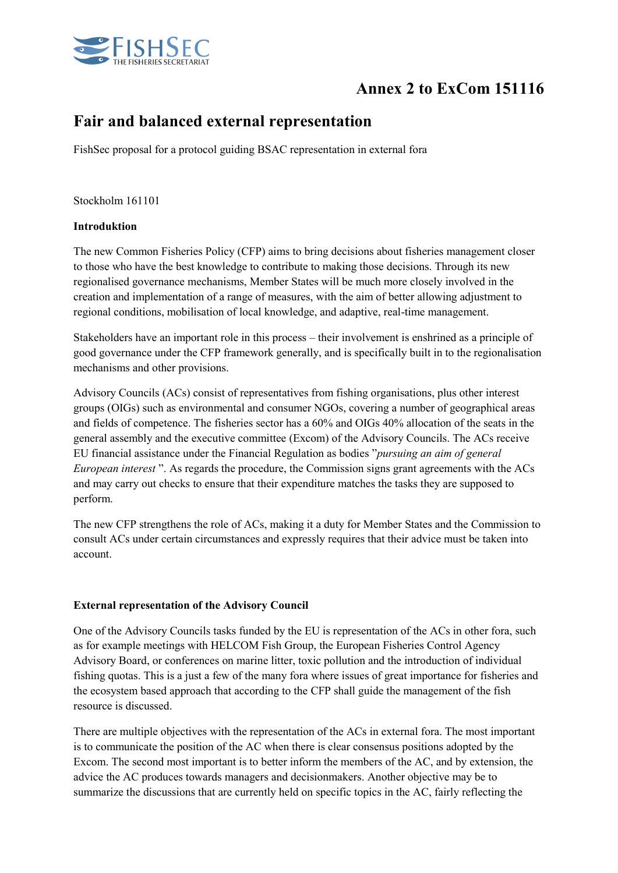

# Annex 2 to ExCom 151116

# Fair and balanced external representation

FishSec proposal for a protocol guiding BSAC representation in external fora

Stockholm 161101

# Introduktion

The new Common Fisheries Policy (CFP) aims to bring decisions about fisheries management closer to those who have the best knowledge to contribute to making those decisions. Through its new regionalised governance mechanisms, Member States will be much more closely involved in the creation and implementation of a range of measures, with the aim of better allowing adjustment to regional conditions, mobilisation of local knowledge, and adaptive, real-time management.

Stakeholders have an important role in this process – their involvement is enshrined as a principle of good governance under the CFP framework generally, and is specifically built in to the regionalisation mechanisms and other provisions.

Advisory Councils (ACs) consist of representatives from fishing organisations, plus other interest groups (OIGs) such as environmental and consumer NGOs, covering a number of geographical areas and fields of competence. The fisheries sector has a 60% and OIGs 40% allocation of the seats in the general assembly and the executive committee (Excom) of the Advisory Councils. The ACs receive EU financial assistance under the Financial Regulation as bodies "*pursuing an aim of general European interest* ". As regards the procedure, the Commission signs grant agreements with the ACs and may carry out checks to ensure that their expenditure matches the tasks they are supposed to perform.

The new CFP strengthens the role of ACs, making it a duty for Member States and the Commission to consult ACs under certain circumstances and expressly requires that their advice must be taken into account.

#### External representation of the Advisory Council

One of the Advisory Councils tasks funded by the EU is representation of the ACs in other fora, such as for example meetings with HELCOM Fish Group, the European Fisheries Control Agency Advisory Board, or conferences on marine litter, toxic pollution and the introduction of individual fishing quotas. This is a just a few of the many fora where issues of great importance for fisheries and the ecosystem based approach that according to the CFP shall guide the management of the fish resource is discussed.

There are multiple objectives with the representation of the ACs in external fora. The most important is to communicate the position of the AC when there is clear consensus positions adopted by the Excom. The second most important is to better inform the members of the AC, and by extension, the advice the AC produces towards managers and decisionmakers. Another objective may be to summarize the discussions that are currently held on specific topics in the AC, fairly reflecting the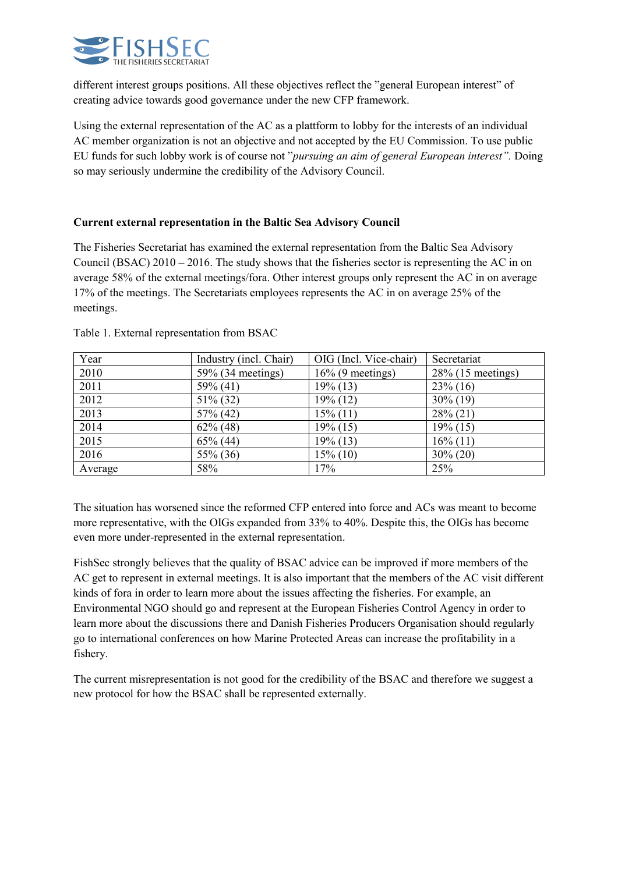

different interest groups positions. All these objectives reflect the "general European interest" of creating advice towards good governance under the new CFP framework.

Using the external representation of the AC as a plattform to lobby for the interests of an individual AC member organization is not an objective and not accepted by the EU Commission. To use public EU funds for such lobby work is of course not "*pursuing an aim of general European interest".* Doing so may seriously undermine the credibility of the Advisory Council.

# Current external representation in the Baltic Sea Advisory Council

The Fisheries Secretariat has examined the external representation from the Baltic Sea Advisory Council (BSAC) 2010 – 2016. The study shows that the fisheries sector is representing the AC in on average 58% of the external meetings/fora. Other interest groups only represent the AC in on average 17% of the meetings. The Secretariats employees represents the AC in on average 25% of the meetings.

| Year    | Industry (incl. Chair) | OIG (Incl. Vice-chair) | Secretariat          |
|---------|------------------------|------------------------|----------------------|
| 2010    | 59% (34 meetings)      | $16\%$ (9 meetings)    | $28\%$ (15 meetings) |
| 2011    | $59\%$ (41)            | $19\%$ (13)            | $23\%$ (16)          |
| 2012    | $51\%$ (32)            | 19% (12)               | $30\%$ (19)          |
| 2013    | $57\%$ (42)            | $15\%$ (11)            | $28\% (21)$          |
| 2014    | $62\%$ (48)            | $19\%$ (15)            | $19\%$ (15)          |
| 2015    | $65\%$ (44)            | $19\%$ (13)            | $16\%$ (11)          |
| 2016    | 55% (36)               | $15\%$ (10)            | $30\% (20)$          |
| Average | 58%                    | 17%                    | 25%                  |

Table 1. External representation from BSAC

The situation has worsened since the reformed CFP entered into force and ACs was meant to become more representative, with the OIGs expanded from 33% to 40%. Despite this, the OIGs has become even more under-represented in the external representation.

FishSec strongly believes that the quality of BSAC advice can be improved if more members of the AC get to represent in external meetings. It is also important that the members of the AC visit different kinds of fora in order to learn more about the issues affecting the fisheries. For example, an Environmental NGO should go and represent at the European Fisheries Control Agency in order to learn more about the discussions there and Danish Fisheries Producers Organisation should regularly go to international conferences on how Marine Protected Areas can increase the profitability in a fishery.

The current misrepresentation is not good for the credibility of the BSAC and therefore we suggest a new protocol for how the BSAC shall be represented externally.